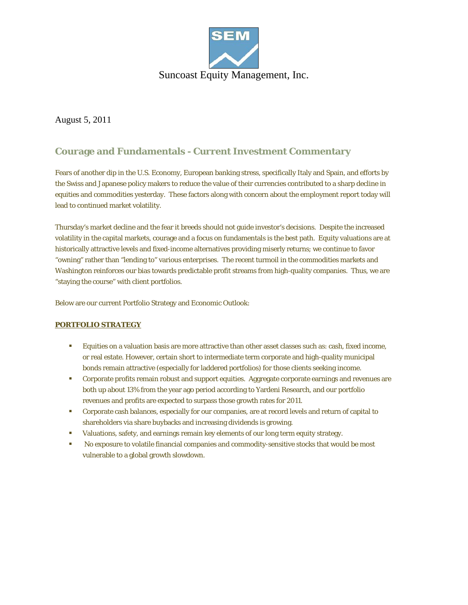

August 5, 2011

## **Courage and Fundamentals - Current Investment Commentary**

Fears of another dip in the U.S. Economy, European banking stress, specifically Italy and Spain, and efforts by the Swiss and Japanese policy makers to reduce the value of their currencies contributed to a sharp decline in equities and commodities yesterday. These factors along with concern about the employment report today will lead to continued market volatility.

Thursday's market decline and the fear it breeds should not guide investor's decisions. Despite the increased volatility in the capital markets, courage and a focus on fundamentals is the best path. Equity valuations are at historically attractive levels and fixed-income alternatives providing miserly returns; we continue to favor "owning" rather than "lending to" various enterprises. The recent turmoil in the commodities markets and Washington reinforces our bias towards predictable profit streams from high-quality companies. Thus, we are "staying the course" with client portfolios.

Below are our current Portfolio Strategy and Economic Outlook:

## **PORTFOLIO STRATEGY**

- Equities on a valuation basis are more attractive than other asset classes such as: cash, fixed income, or real estate. However, certain short to intermediate term corporate and high-quality municipal bonds remain attractive (especially for laddered portfolios) for those clients seeking income.
- Corporate profits remain robust and support equities. Aggregate corporate earnings and revenues are both up about 13% from the year ago period according to Yardeni Research, and our portfolio revenues and profits are expected to surpass those growth rates for 2011.
- Corporate cash balances, especially for our companies, are at record levels and return of capital to shareholders via share buybacks and increasing dividends is growing.
- Valuations, safety, and earnings remain key elements of our long term equity strategy.
- No exposure to volatile financial companies and commodity-sensitive stocks that would be most vulnerable to a global growth slowdown.